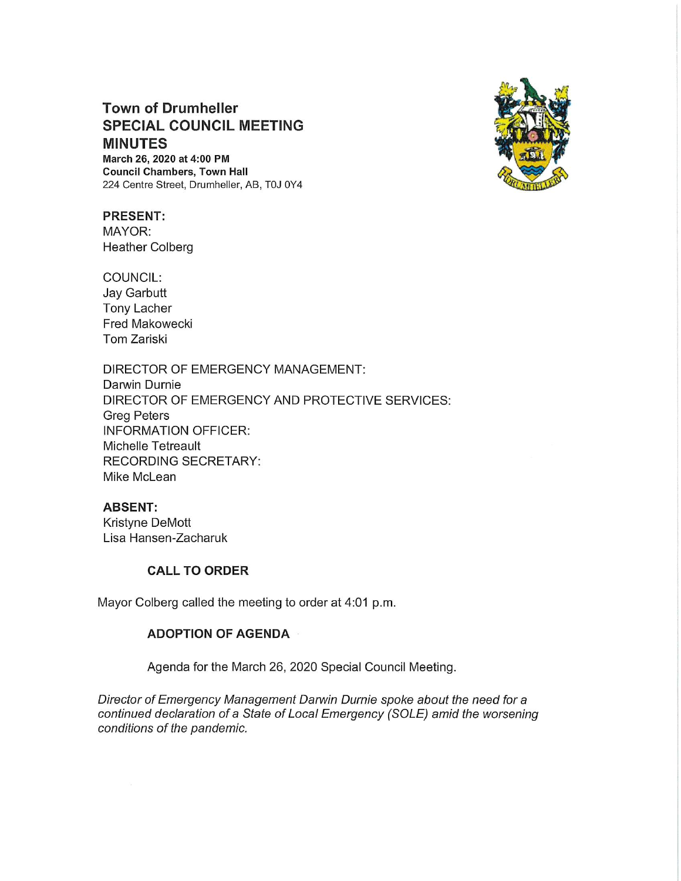# Town of Drumheller SPECIAL COUNCIL MEETING MINUTES

March 26, 2020 at 4:00 PM Council Chambers, Town Hall 224 Centre Street, Drumheller, AB, T0J OY4



## PRESENT:

MAYOR: Heather Colberg

COUNCIL: Jay Garbutt Tony Lacher Fred Makowecki Tom Zariski

DIRECTOR OF EMERGENCY MANAGEMENT: Darwin Durnie DIRECTOR OF EMERGENCY AND PROTECTIVE SERVICES: Greg Peters INFORMATION OFFICER: Michelle Tetreault RECORDING SECRETARY: Mike McLean

### ABSENT:

Kristyne DeMott Lisa Hansen-Zacharuk

## CALL TO ORDER

Mayor Colberg called the meeting to order at 4:01 p.m.

### ADOPTION OF AGENDA

Agenda for the March 26, 2020 Special Council Meeting.

Director of Emergency Management Darwin Durnie spoke about the need for a continued declaration of a State of Local Emergency (SOLE) amid the worsening conditions of the pandemic.